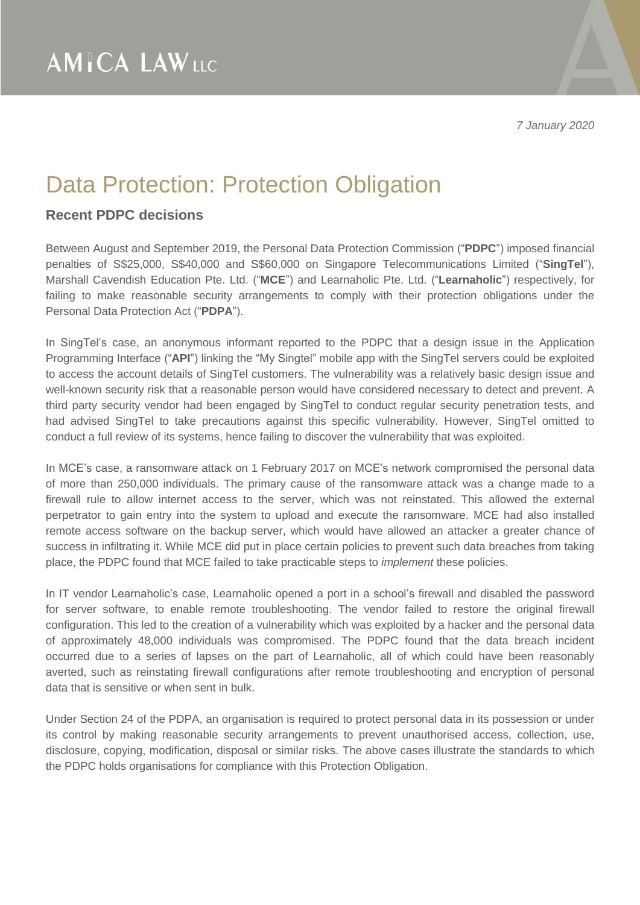*7 January 2020*

## Data Protection: Protection Obligation

## **Recent PDPC decisions**

Between August and September 2019, the Personal Data Protection Commission ("**PDPC**") imposed financial penalties of S\$25,000, S\$40,000 and S\$60,000 on Singapore Telecommunications Limited ("**SingTel**"), Marshall Cavendish Education Pte. Ltd. ("**MCE**") and Learnaholic Pte. Ltd. ("**Learnaholic**") respectively, for failing to make reasonable security arrangements to comply with their protection obligations under the Personal Data Protection Act ("**PDPA**").

In SingTel's case, an anonymous informant reported to the PDPC that a design issue in the Application Programming Interface ("**API**") linking the "My Singtel" mobile app with the SingTel servers could be exploited to access the account details of SingTel customers. The vulnerability was a relatively basic design issue and well-known security risk that a reasonable person would have considered necessary to detect and prevent. A third party security vendor had been engaged by SingTel to conduct regular security penetration tests, and had advised SingTel to take precautions against this specific vulnerability. However, SingTel omitted to conduct a full review of its systems, hence failing to discover the vulnerability that was exploited.

In MCE's case, a ransomware attack on 1 February 2017 on MCE's network compromised the personal data of more than 250,000 individuals. The primary cause of the ransomware attack was a change made to a firewall rule to allow internet access to the server, which was not reinstated. This allowed the external perpetrator to gain entry into the system to upload and execute the ransomware. MCE had also installed remote access software on the backup server, which would have allowed an attacker a greater chance of success in infiltrating it. While MCE did put in place certain policies to prevent such data breaches from taking place, the PDPC found that MCE failed to take practicable steps to *implement* these policies.

In IT vendor Learnaholic's case, Learnaholic opened a port in a school's firewall and disabled the password for server software, to enable remote troubleshooting. The vendor failed to restore the original firewall configuration. This led to the creation of a vulnerability which was exploited by a hacker and the personal data of approximately 48,000 individuals was compromised. The PDPC found that the data breach incident occurred due to a series of lapses on the part of Learnaholic, all of which could have been reasonably averted, such as reinstating firewall configurations after remote troubleshooting and encryption of personal data that is sensitive or when sent in bulk.

Under Section 24 of the PDPA, an organisation is required to protect personal data in its possession or under its control by making reasonable security arrangements to prevent unauthorised access, collection, use, disclosure, copying, modification, disposal or similar risks. The above cases illustrate the standards to which the PDPC holds organisations for compliance with this Protection Obligation.